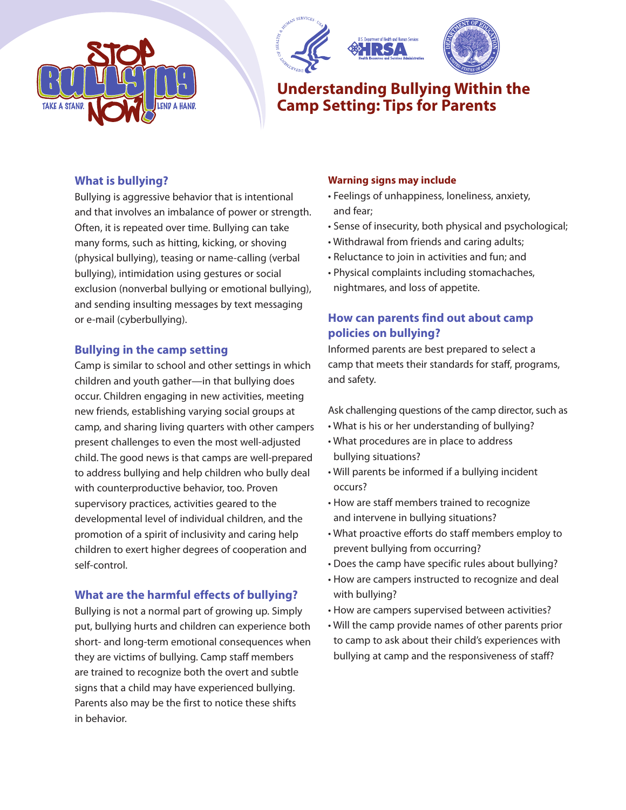





# **Understanding Bullying Within the Camp Setting: Tips for Parents**

### **What is bullying?**

Bullying is aggressive behavior that is intentional and that involves an imbalance of power or strength. Often, it is repeated over time. Bullying can take many forms, such as hitting, kicking, or shoving (physical bullying), teasing or name-calling (verbal bullying), intimidation using gestures or social exclusion (nonverbal bullying or emotional bullying), and sending insulting messages by text messaging or e-mail (cyberbullying).

### **Bullying in the camp setting**

Camp is similar to school and other settings in which children and youth gather—in that bullying does occur. Children engaging in new activities, meeting new friends, establishing varying social groups at camp, and sharing living quarters with other campers present challenges to even the most well-adjusted child. The good news is that camps are well-prepared to address bullying and help children who bully deal with counterproductive behavior, too. Proven supervisory practices, activities geared to the developmental level of individual children, and the promotion of a spirit of inclusivity and caring help children to exert higher degrees of cooperation and self-control.

### **What are the harmful effects of bullying?**

Bullying is not a normal part of growing up. Simply put, bullying hurts and children can experience both short- and long-term emotional consequences when they are victims of bullying. Camp staff members are trained to recognize both the overt and subtle signs that a child may have experienced bullying. Parents also may be the first to notice these shifts in behavior.

### **Warning signs may include**

- Feelings of unhappiness, loneliness, anxiety, and fear;
- Sense of insecurity, both physical and psychological;
- Withdrawal from friends and caring adults;
- Reluctance to join in activities and fun; and
- Physical complaints including stomachaches, nightmares, and loss of appetite.

## **How can parents find out about camp policies on bullying?**

Informed parents are best prepared to select a camp that meets their standards for staff, programs, and safety.

Ask challenging questions of the camp director, such as

- What is his or her understanding of bullying?
- What procedures are in place to address bullying situations?
- Will parents be informed if a bullying incident occurs?
- How are staff members trained to recognize and intervene in bullying situations?
- What proactive efforts do staff members employ to prevent bullying from occurring?
- Does the camp have specific rules about bullying?
- How are campers instructed to recognize and deal with bullying?
- How are campers supervised between activities?
- Will the camp provide names of other parents prior to camp to ask about their child's experiences with bullying at camp and the responsiveness of staff?